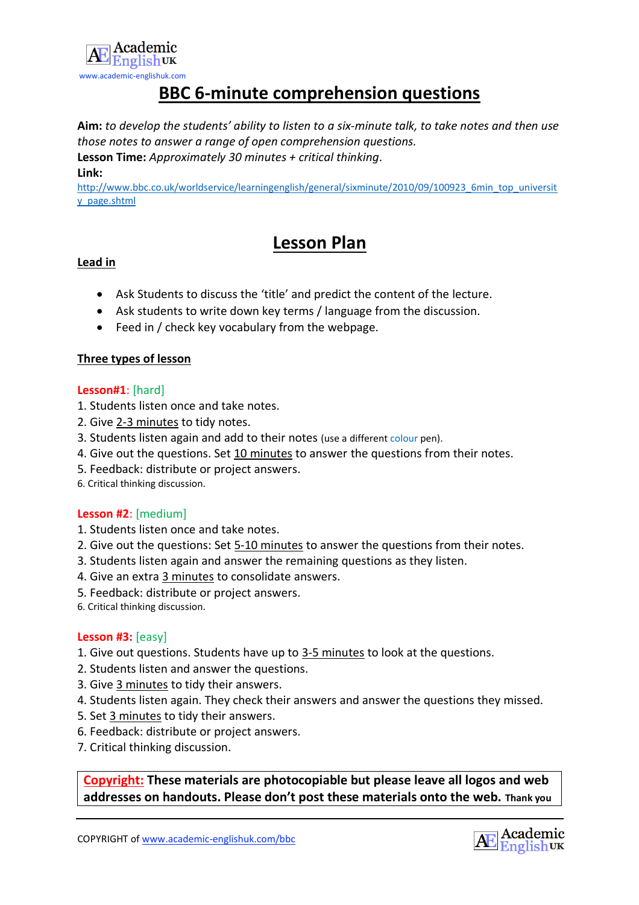

## **BBC 6-minute comprehension questions**

**Aim:** *to develop the students' ability to listen to a six-minute talk, to take notes and then use those notes to answer a range of open comprehension questions.*

**Lesson Time:** *Approximately 30 minutes + critical thinking.* **Link:**

[http://www.bbc.co.uk/worldservice/learningenglish/general/sixminute/2010/09/100923\\_6min\\_top\\_universit](http://www.bbc.co.uk/worldservice/learningenglish/general/sixminute/2010/09/100923_6min_top_university_page.shtml) [y\\_page.shtml](http://www.bbc.co.uk/worldservice/learningenglish/general/sixminute/2010/09/100923_6min_top_university_page.shtml)

## **Lesson Plan**

#### **Lead in**

- Ask Students to discuss the 'title' and predict the content of the lecture.
- Ask students to write down key terms / language from the discussion.
- Feed in / check key vocabulary from the webpage.

#### **Three types of lesson**

#### **Lesson#1**: [hard]

- 1. Students listen once and take notes.
- 2. Give 2-3 minutes to tidy notes.
- 3. Students listen again and add to their notes (use a different colour pen).
- 4. Give out the questions. Set 10 minutes to answer the questions from their notes.
- 5. Feedback: distribute or project answers.
- 6. Critical thinking discussion.

#### **Lesson #2**: [medium]

- 1. Students listen once and take notes.
- 2. Give out the questions: Set 5-10 minutes to answer the questions from their notes.
- 3. Students listen again and answer the remaining questions as they listen.
- 4. Give an extra 3 minutes to consolidate answers.
- 5. Feedback: distribute or project answers.
- 6. Critical thinking discussion.

#### **Lesson #3:** [easy]

- 1. Give out questions. Students have up to 3-5 minutes to look at the questions.
- 2. Students listen and answer the questions.
- 3. Give 3 minutes to tidy their answers.
- 4. Students listen again. They check their answers and answer the questions they missed.
- 5. Set 3 minutes to tidy their answers.
- 6. Feedback: distribute or project answers.
- 7. Critical thinking discussion.

**Copyright: These materials are photocopiable but please leave all logos and web addresses on handouts. Please don't post these materials onto the web. Thank you**

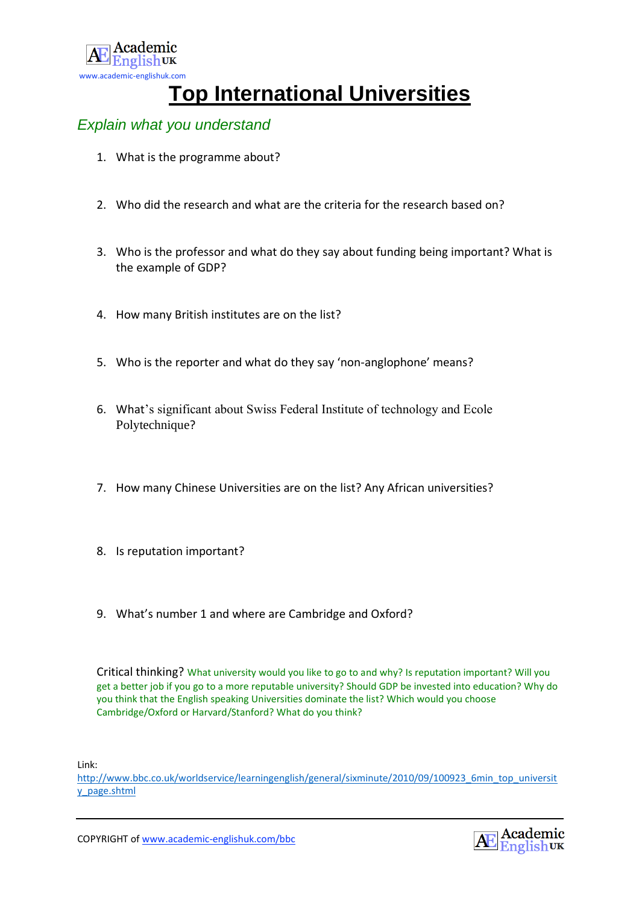

# **Top International Universities**

### *Explain what you understand*

- 1. What is the programme about?
- 2. Who did the research and what are the criteria for the research based on?
- 3. Who is the professor and what do they say about funding being important? What is the example of GDP?
- 4. How many British institutes are on the list?
- 5. Who is the reporter and what do they say 'non-anglophone' means?
- 6. What's significant about Swiss Federal Institute of technology and Ecole Polytechnique?
- 7. How many Chinese Universities are on the list? Any African universities?
- 8. Is reputation important?
- 9. What's number 1 and where are Cambridge and Oxford?

Critical thinking? What university would you like to go to and why? Is reputation important? Will you get a better job if you go to a more reputable university? Should GDP be invested into education? Why do you think that the English speaking Universities dominate the list? Which would you choose Cambridge/Oxford or Harvard/Stanford? What do you think?

Link:

[http://www.bbc.co.uk/worldservice/learningenglish/general/sixminute/2010/09/100923\\_6min\\_top\\_universit](http://www.bbc.co.uk/worldservice/learningenglish/general/sixminute/2010/09/100923_6min_top_university_page.shtml) [y\\_page.shtml](http://www.bbc.co.uk/worldservice/learningenglish/general/sixminute/2010/09/100923_6min_top_university_page.shtml)

COPYRIGHT o[f www.academic-englishuk.com/bbc](http://www.academic-englishuk.com/bbc)